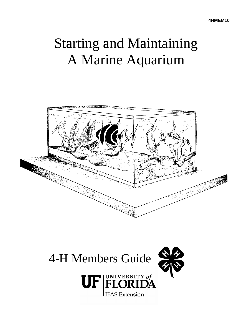# Starting and Maintaining A Marine Aquarium



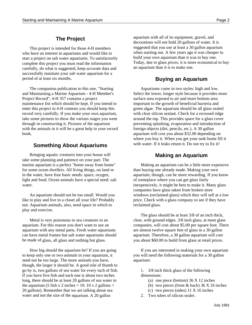This project is intended for those 4-H members who have an interest in aquariums and would like to start a project on salt water aquariums. To satisfactorily complete this project you must read the information carefully, do what is suggested, keep accurate data and successfully maintain your salt water aquarium for a period of at least six months.

The companion publication to this one, "Starting Aquariums come in two styles: high and low. and Maintaining a Marine Aquarium - 4-H Member's Select the lower, longer style because it provides more Project Record", 4-H 357 contains a project surface area exposed to air and more bottom area maintenance list which should be kept. If you intend to important to the growth of beneficial bacteria and enter this project in 4-H contests you should keep this green algae. The aquarium should be all glass sealed record very carefully. If you make your own aquarium, with clear silicon sealant. Check for a recessed ridge take some pictures to show the various stages you went around the top. This provides space for a glass cover through in constructing it. Pictures of the aquarium preventing splashing, evaporation and introduction of with the animals in it will be a great help in your record foreign objects (dirt, pencils, etc.). A 30 gallon book. aquarium will cost you about \$32.00 depending on

# **Something About Aquariums** with water. If it leaks return it. Do not try to fix it!

Bringing aquatic creatures into your house will take some planning and patience on your part. The for some ocean dwellers. All living things, on land or than buying one already made. Making your own light and food. Ocean animals have a special need: salt of someplace where you can get glass fairly water. interesting the mater of the interesting interesting interesting in the best to make it. Many glass

like to play and live in a closet all your life? Probably price. Check with a glass company to see if they have not. Aquarium animals, also, need space in which to reclaimed glass. play and exercise.

aquarium with any metal parts. Fresh water aquariums are almost twelve square feet of glass in a 30 gallon can have metal frames but salt water aquariums should aquarium. Therefore, a 30 gallon aquarium will cost be made of glass, all glass and nothing but glass. you about \$60.00 to build from glass at retail prices.

to keep only one or two animals in your aquarium, it you will need the following materials for a 30 gallon need not be too large. The more animals you have, aquarium: though, the larger it should be. A good rule of thumb to go by is, two gallons of sea water for every inch of fish. 1. 3/8 inch thick glass of the following If you have five fish and each one is about two inches dimensions: long, there should be at least 20 gallons of sea water in (a) one piece (bottom) 36 X 12 inches the aquarium (5 fish x 2 inches = 10. 10 x 2 gallons = (b) two pieces (front & back) 36 X 16 inches 20 gallons). Remember that we are talking about sea (c) two pieces (sides) 11 X 16 inches water and not the size of the aquarium. A 20 gallon 2. Two tubes of silicon sealer.

**The Project** aquarium with all of its equipment, gravel, and **The Project** decorations will not hold 20 gallons of water. It is suggested that you use at least a 30 gallon aquarium when starting out. A few years ago it was cheaper to build your own aquarium than it was to buy one. Today, due to glass prices, it is more economical to buy an aquarium than it is to make one.

## **Buying an Aquarium**

where you buy it. When you get your tank home fill it

### **Making an Aquarium**

marine aquarium is a perfect "home away from home" Making an aquarium can be a little more expensive in the water, have four basic needs: space, oxygen, aquarium, though, can be more rewarding. If you know An aquarium should not be too small. Would you windows (reclaimed glass) which they will sell at a low companies have glass taken from broken store

Metal is very poisonous to sea creatures in an clear, with ground edges. 3/8 inch glass, at most glass aquarium. For this reason you don't want to use an companies, will cost about \$5.00 per square foot. There The glass should be at least 3/8 of an inch thick,

How big should the aquarium be? If you are going If you are interested in making your own aquarium

- -
	-
	-
-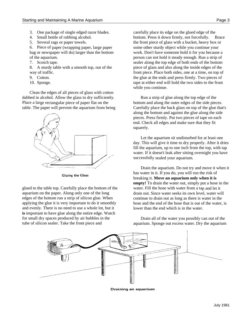- 
- 
- 

- 
- 

Clean the edges of all pieces of glass with cotton dabbed in alcohol. Allow the glass to dry sufficiently. Run a strip of glue along the top edge of the Place a large rectangular piece of paper flat on the bottom and along the outer edges of the side pieces. table. The paper will prevent the aquarium from being Carefully place the back glass on top of the glue that's



**Gluing the Glass** 

glued to the table top. Carefully place the bottom of the aquarium on the paper. Along only one of the long edges of the bottom run a strip of silicon glue. When applying the glue it is very important to do it smoothly and evenly. There is no need to use a whole lot, but it **is** important to have glue along the entire edge. Watch for small dry spaces produced by air bubbles in the tube of silicon sealer. Take the front piece and

3. One package of single edged razor blades. carefully place its edge on the glued edge of the 4. Small bottle of rubbing alcohol. bottom. Press it down firmly, not forcefully. Brace 5. Several rags or paper towels. the front piece of glass with a bucket, heavy box or 6. Piece of paper (wrapping paper, large paper some other sturdy object while you continue your bag or newspaper will do) larger than the bottom work. Don't have someone hold it for you because a of the aquarium. person can not hold it steady enough. Run a strip of 7. Scotch tape. sealer along the top edge of both ends of the bottom 8. A sturdy table with a smooth top, out of the piece of glass and also along the inside edges of the way of traffic. **from the interval in the set of traffice** both sides, one at a time, on top of 9. Cotton. the glue at the ends and press firmly. Two pieces of 10. Sponge. tape at either end will hold the two sides to the front while you continue.

> along the bottom and against the glue along the side pieces. Press firmly. Put two pieces of tape on each end. Check all edges and make sure that they fit squarely.

Let the aquarium sit undisturbed for at least one day. This will give it time to dry properly. After it dries fill the aquarium, up to one inch from the top, with tap water. If it doesn't leak after sitting overnight you have successfully sealed your aquarium.

Drain the aquarium. Do not try and move it when it has water in it. If you do, you will run the risk of breaking it. **Move an aquarium only when it is empty!** To drain the water out, simply put a hose in the water. Fill the hose with water from a tap and let it drain out. Since water seeks its own level, water will continue to drain out as long as there is water in the hose and the end of the hose that is out of the water, is lower than the end which is in the water.

Drain all of the water you possibly can out of the aquarium. Sponge out excess water. Dry the aquarium



Draining an aquarium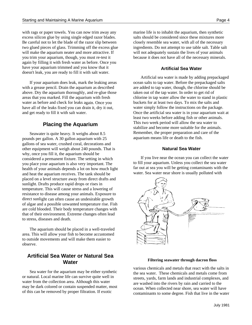with rags or paper towels. You can now trim away any marine life is to inhabit the aquarium, then synthetic excess silicon glue by using single edged razor blades. salts should be considered since these mixtures more Be careful not to let the blade of the razor slip between closely resemble sea water, with all of the necessary two glued pieces of glass. Trimming off the excess glue ingredients. Do not attempt to use table salt. Table salt will make the aquarium neater and more attractive. If will not adequately sustain the lives of your animals you trim your aquarium, though, you must re-test it because it does not have all of the necessary minerals. again by filling it with fresh water as before. Once you have your aquarium trimmed and you know that it doesn't leak, you are ready to fill it with salt water.

If your aquarium does leak, mark the leaking areas with a grease pencil. Drain the aquarium as described above. Dry the aquarium thoroughly, and re-glue those areas that you marked. Fill the aquarium with fresh water as before and check for leaks again. Once you have all of the leaks fixed you can drain it, dry it out, and get ready to fill it with salt water.

# **Placing the Aquarium**

Seawater is quite heavy. It weighs about 8.5 pounds per gallon. A 30 gallon aquarium with 25 gallons of sea water, crushed coral, decorations and other equipment will weigh about 240 pounds. That is why, once you fill it, the aquarium should be considered a permanent fixture. The setting in which you place your aquarium is also very important. The health of your animals depends a lot on how much light and heat the aquarium receives. The tank should be placed on a level structure away from direct drafts and sunlight. Drafts produce rapid drops or rises in temperature. This will cause stress and a lowering of resistance to disease among your animals. Exposure to direct sunlight can often cause an undesirable growth of algae and a possible unwanted temperature rise. Fish are cold blooded. Their body temperature changes with that of their environment. Extreme changes often lead to stress, diseases and death.

The aquarium should be placed in a well-traveled area. This will allow your fish to become accustomed to outside movements and will make them easier to observe.

# **Artificial Sea Water or Natural Sea Water**

Sea water for the aquarium may be either synthetic or natural. Local marine life can survive quite well in water from the collection area. Although this water may be dark colored or contain suspended matter, most of this can be removed by proper filtration. If exotic

#### **Artificial Sea Water**

Artificial sea water is made by adding prepackaged ocean salts to tap water. Before the prepackaged salts are added to tap water, though, the chlorine should be taken out of the tap water. In order to get rid of chlorine in tap water allow the water to stand in plastic buckets for at least two days. To mix the salts and water simply follow the instructions on the package. Once the artificial sea water is in your aquarium wait at least two weeks before adding fish or other animals. This two week period will allow the sea water to stabilize and become more suitable for the animals. Remember, the proper preparation and care of the aquarium means life or death to the fish.

#### **Natural Sea Water**

If you live near the ocean you can collect the water to fill your aquarium. Unless you collect the sea water far out at sea you will be getting contaminants with the water. Sea water near shore is usually polluted with



#### **Filtering seawater through dacron floss**

various chemicals and metals that react with the salts in the sea water. These chemicals and metals come from streets, yards, farm lands and industrial complexes, and are washed into the rivers by rain and carried to the ocean. When collected near shore, sea water will have contaminants to some degree. Fish that live in the water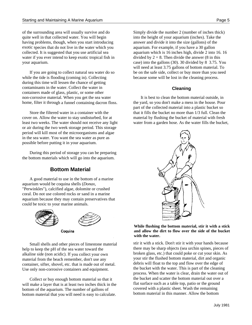of the surrounding area will usually survive and do Simply divide the number 2 (number of inches thick) quite well in that collected water. You will begin into the height of your aquarium (inches). Take the having problems, though, when you start introducing answer and divide it into the size (gallons) of the exotic species that do not live in the water which you aquarium. For example, if you have a 30 gallon water if you ever intend to keep exotic tropical fish in divided by  $2 = 8$ . Then divide the answer (8 in this

while the tide is flooding (coming in). Collecting because some will be lost in the cleaning process. during this time will lessen the chance of getting contaminants in the water. Collect the water in containers made of glass, plastic, or some other non-corrosive material. When you get the sea water home, filter it through a funnel containing dacron floss.

Store the filtered water in a container with the cover on. Allow the water to stay undisturbed, for at least two weeks. The water should not receive any light or air during the two week storage period. This storage period will kill most of the microorganisms and algae in the sea water. You want the sea water as pure as possible before putting it in your aquarium.

During this period of storage you can be preparing the bottom materials which will go into the aquarium.

# **Bottom Material**

A good material to use in the bottom of a marine aquarium would be coquina shells (*Donax*, "Perwinkles"), calcified algae, dolomite or crushed coral. Do not use colored rocks or sand in a marine aquarium because they may contain preservatives that could be toxic to your marine animals.





Coquina

Small shells and other pieces of limestone material help to keep the pH of the sea water toward the alkaline side (non acidic). If you collect your own material from the beach remember, don't use any container, sifter, shovel, etc. that is made out of metal. Use only non-corrosive containers and equipment.

Collect or buy enough bottom material so that it will make a layer that is at least two inches thick in the bottom of the aquarium. The number of gallons of bottom material that you will need is easy to calculate.

collected. It is suggested that you use artificial sea aquarium which is 16 inches high, divide 2 into 16. 16 your aquarium. case) into the gallons (30). 30 divided by 8 3.75. You If you are going to collect natural sea water do so be on the safe side, collect or buy more than you need will need at least 3.75 gallons of bottom material. To

#### **Cleaning**

It is best to clean the bottom material outside, in the yard, so you don't make a mess in the house. Pour part of the collected material into a plastic bucket so that it fills the bucket no more than 1/3 full. Clean the material by flushing the bucket of material with fresh water from a garden hose. As the water fills the bucket,



#### **While flushing the bottom material, stir it with a stick and allow the dirt to flow over the side of the bucket with the water.**

stir it with a stick. Don't stir it with your hands because there may be sharp objects (sea urchin spines, pieces of broken glass, etc.) that could poke or cut your skin. As your stir the flushed bottom material, dirt and organic debris will float to the top and flow over the edge of the bucket with the water. This is part of the cleaning process. When the water is clear, drain the water out of the bucket and scatter the bottom material out over a flat surface such as a table top, patio or the ground covered with a plastic sheet. Wash the remaining bottom material in this manner. Allow the bottom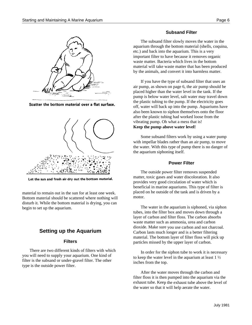

Scatter the bottom material over a flat surface.



Let the sun and fresh air dry out the bottom material.

material to remain out in the sun for at least one week. Bottom material should be scattered where nothing will disturb it. While the bottom material is drying, you can begin to set up the aquarium.

# **Setting up the Aquarium**

#### **Filters**

There are two different kinds of filters with which you will need to supply your aquarium. One kind of filter is the subsand or under-gravel filter. The other type is the outside power filter.

#### **Subsand Filter**

The subsand filter slowly moves the water in the aquarium through the bottom material (shells, coquina, etc.) and back into the aquarium. This is a very important filter to have because it removes organic waste matter. Bacteria which lives in the bottom material will take waste matter that has been produced by the animals, and convert it into harmless matter.

If you have the type of subsand filter that uses an air pump, as shown on page 6, the air pump should be placed higher than the water level in the tank. If the pump is below water level, salt water may travel down the plastic tubing to the pump. If the electricity goes off, water will back up into the pump. Aquariums have also been known to siphon themselves onto the floor after the plastic tubing had worked loose from the vibrating pump. Oh what a mess that is! **Keep the pump above water level!**

Some subsand filters work by using a water pump with impellar blades rather than an air pump, to move the water. With this type of pump there is no danger of the aquarium siphoning itself.

#### **Power Filter**

The outside power filter removes suspended matter, toxic gases and water discoloration. It also provides very good circulation of water which is beneficial in marine aquariums. This type of filter is placed on he outside of the tank and is driven by a motor.

The water in the aquarium is siphoned, via siphon tubes, into the filter box and moves down through a layer of carbon and filter floss. The carbon absorbs waste matter such as ammonia, urea and carbon dioxide. Make sure you use carbon and not charcoal. Carbon lasts much longer and is a better filtering material. The bottom layer of filter floss will pick up particles missed by the upper layer of carbon.

In order for the siphon tube to work it is necessary to keep the water level in the aquarium at least  $1\frac{1}{2}$ inches from the top.

After the water moves through the carbon and filter floss it is then pumped into the aquarium via the exhaust tube. Keep the exhaust tube above the level of the water so that it will help aerate the water.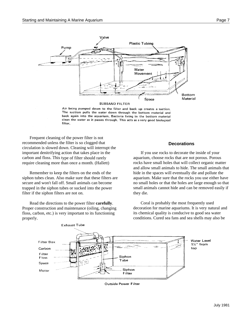

Air being pumped down to the filter and back up creates a suction. The suction pulls the water down through the bottom material and back again into the aquarium. Bacteria living in the bottom material clean the water as it passes through. This acts as a very good biological filter.

Frequent cleaning of the power filter is not recommended unless the filter is so clogged that circulation is slowed down. Cleaning will interrupt the important denitrifying action that takes place in the carbon and floss. This type of filter should rarely require cleaning more than once a month. (Hallett)

Remember to keep the filters on the ends of the siphon tubes clean. Also make sure that these filters are secure and won't fall off. Small animals can become trapped in the siphon tubes or sucked into the power filter if the siphon filters are not on.

Read the directions to the power filter **carefully**. Proper construction and maintenance (oiling, changing floss, carbon, etc.) is very important to its functioning properly.

#### **Decorations**

If you use rocks to decorate the inside of your aquarium, choose rocks that are not porous. Porous rocks have small holes that will collect organic matter and allow small animals to hide. The small animals that hide in the spaces will eventually die and pollute the aquarium. Make sure that the rocks you use either have no small holes or that the holes are large enough so that small animals cannot hide and can be removed easily if they die.

Coral is probably the most frequently used decoration for marine aquariums. It is very natural and its chemical quality is conducive to good sea water conditions. Cured sea fans and sea shells may also be



**Outside Power Filter**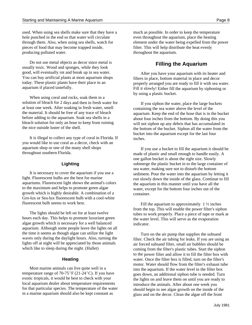used. When using sea shells make sure that they have a much as possible. In order to keep the temperature hole punched in the end so that water will circulate even throughout the aquarium, place the heating pieces of food that may become trapped inside, filter. This will help distribute the heat evenly producing polluted water. throughout the aquarium.

Do not use metal objects as decor since metal is usually toxic. Wood and sponges, while they look good, will eventually rot and break up in sea water. You can buy artificial plants at most aquarium shops today. These plastic plants have their place in an aquarium if placed tastefully.

When using coral and rocks, soak them in a solution of bleach for 2 days and then in fresh water for at least one week. After soaking in fresh water, smell the material. It should be free of any trace of bleach before adding to the aquarium. Soak sea shells in a bleach solution for only an hour to keep from ruining the nice outside luster of the shell.

It is illegal to collect any type of coral in Florida. If you would like to use coral as a decor, check with an aquarium shop or one of the many shell shops throughout southern Florida.

#### **Lighting**

It is necessary to cover the aquarium if you use a light. Fluorescent bulbs are the best for marine aquariums. Fluorescent light shows the animal's colors to the maximum and helps to promote green algae growth which is highly desirable. A combination of a Gro-lux or Sea-lux fluorescent bulb with a cool-white fluorescent bulb seems to work best.

The lights should be left on for at least twelve hours each day. This helps to promote luxuriant green algae growth which is necessary for a well balanced aquarium. Although some people leave the lights on all the time it seems as though algae can utilize the light waves only during the daylight hours. Also, turning the lights off at night will be appreciated by those animals which like to sleep during the night. (Hallet)

#### **Heating**

Most marine animals can live quite well in a temperature range of  $70-75^{\circ}F(21-24^{\circ}C)$ . If you have exotic tropicals, it would be best to check with your local aquarium dealer about temperature requirements for that particular species. The temperature of the water in a marine aquarium should also be kept constant as

through them. Also, when using sea shells, watch for element under the water being expelled from the power

# **Filling the Aquarium**

After you have your aquarium with its heater and filters in place, bottom material in place and decor properly arranged you are ready to fill it with sea water. Fill it slowly! Either fill the aquarium by siphoning or by using a plastic bucket.

If you siphon the water, place the large buckets containing the sea water above the level of the aquarium. Keep the end of the hose that is in the bucket about four inches from the bottom. By doing this you will not siphon up any debris that has accumulated in the bottom of the bucket. Siphon all the water from the bucket into the aquarium except for the last four inches.

If you use a bucket to fill the aquarium it should be made of plastic and small enough to handle easily. A one gallon bucket is about the right size. Slowly submerge the plastic bucket in to the large container of sea water, making sure not to disturb the bottom sediment. Pour the water into the aquarium by letting it run slowly down the inside of the glass. Continue to fill the aquarium in this manner until you have all the water, except for the bottom four inches out of the container.

Fill the aquarium to approximately  $1\frac{1}{2}$  inches from the top. This will enable the power filter's siphon tubes to work properly. Place a piece of tape or mark at the water level. This will serve as the evaporation indicator.

Turn on the air pump that supplies the subsand filter. Check the air tubing for leaks. If you are using an air forced subsand filter, small air bubbles should be coming from the filter's plastic tubes. Start the siphon to the power filter and allow it to fill the filter box with water. Once the filter box is filled, turn on the filter's motor. Water should flow from the filter's exhaust tube into the aquarium. If the water level in the filter box goes down, an additional siphon tube is needed. Turn the lights on and leave them on until you are ready to introduce the animals. After about one week you should begin to see algae growth on the inside of the glass and on the decor. Clean the algae off the front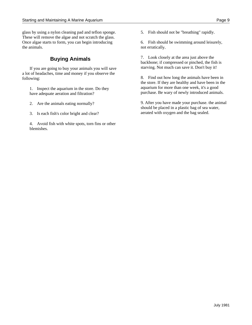glass by using a nylon cleaning pad and teflon sponge. 5. Fish should not be "breathing" rapidly. These will remove the algae and not scratch the glass. Once algae starts to form, you can begin introducing 6. Fish should be swimming around leisurely, the animals. not erratically.

If you are going to buy your animals you will save a lot of headaches, time and money if you observe the following:

1. Inspect the aquarium in the store. Do they have adequate aeration and filtration?

- 2. Are the animals eating normally?
- 3. Is each fish's color bright and clear?
- 4. Avoid fish with white spots, torn fins or other blemishes.

**Buying Animals Buying Animals Buying Animals Buying Animals Buying Animals** backbone; if compressed or pinched, the fish is starving. Not much can save it. Don't buy it!

> 8. Find out how long the animals have been in the store. If they are healthy and have been in the aquarium for more than one week, it's a good purchase. Be wary of newly introduced animals.

9. After you have made your purchase. the animal should be placed in a plastic bag of sea water, aerated with oxygen and the bag sealed.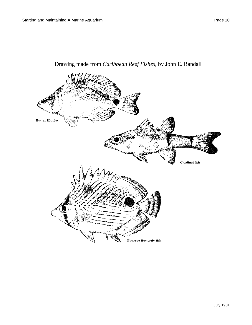

# Drawing made from *Caribbean Reef Fishes*, by John E. Randall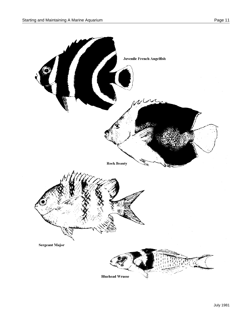![](_page_10_Figure_2.jpeg)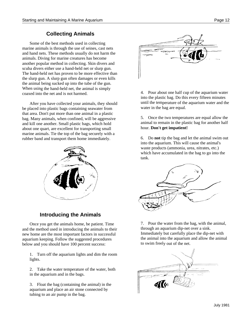# **Collecting Animals**

Some of the best methods used in collecting marine animals is through the use of seines, cast nets and hand nets. These methods usually do not harm the animals. Diving for marine creatures has become another popular method in collecting. Skin divers and scuba divers either use a hand-held net or slurp gun. The hand-held net has proven to be more effective than the slurp gun. A slurp gun often damages or even kills the animal being sucked up into the tube of the gun. When using the hand-held net, the animal is simply coaxed into the net and is not harmed.

After you have collected your animals, they should be placed into plastic bags containing seawater from that area. Don't put more than one animal in a plastic bag. Many animals, when confined, will be aggressive and kill one another. Small plastic bags, which hold about one quart, are excellent for transporting small marine animals. Tie the top of the bag securely with a rubber band and transport them home immediately.

![](_page_11_Picture_5.jpeg)

# **Introducing the Animals**

Once you get the animals home, be patient. Time and the method used in introducing the animals to their new home are the most important factors in successful aquarium keeping. Follow the suggested procedures below and you should have 100 percent success:

1. Turn off the aquarium lights and dim the room lights.

2. Take the water temperature of the water, both in the aquarium and in the bags.

3. Float the bag (containing the animal) in the aquarium and place an air stone connected by tubing to an air pump in the bag.

![](_page_11_Picture_11.jpeg)

4. Pour about one half cup of the aquarium water into the plastic bag. Do this every fifteen minutes until the temperature of the aquarium water and the water in the bag are equal.

5. Once the two temperatures are equal allow the animal to remain in the plastic bag for another half hour. **Don't get impatient!**

6. Do **not** tip the bag and let the animal swim out into the aquarium. This will cause the animal's waste products (ammonia, urea, nitrates, etc.) which have accumulated in the bag to go into the tank.

![](_page_11_Picture_15.jpeg)

7. Pour the water from the bag, with the animal, through an aquarium dip-net over a sink. Immediately but carefully place the dip-net with the animal into the aquarium and allow the animal to swim freely out of the net.

![](_page_11_Picture_17.jpeg)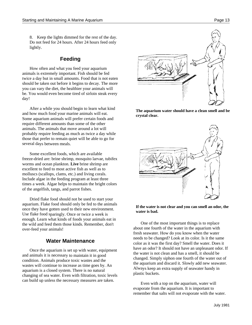8. Keep the lights dimmed for the rest of the day. Do not feed for 24 hours. After 24 hours feed only lightly.

# **Feeding**

How often and what you feed your aquarium animals is extremely important. Fish should be fed twice a day but in small amounts. Food that is not eaten should be taken out before it begins to decay. The more you can vary the diet, the healthier your animals will be. You would even become tired of sirloin steak every day!

After a while you should begin to learn what kind and how much food your marine animals will eat. Some aquarium animals will prefer certain foods and require different amounts than some of the other animals. The animals that move around a lot will probably require feeding as much as twice a day while those that prefer to remain quiet will be able to go for several days between meals.

Some excellent foods, which are available freeze-dried are: brine shrimp, mosquito larvae, tubifex worms and ocean plankton. **Live** brine shrimp are excellent to feed to most active fish as well as to molluscs (scallops, clams, etc.) and living corals. Include algae in the feeding program at least three times a week. Algae helps to maintain the bright colors of the angelfish, tangs, and parrot fishes.

Dried flake food should not be used to start your aquarium. Flake food should only be fed to the animals once they have gotten used to their new environment. Use flake food sparingly. Once or twice a week is enough. Learn what kinds of foods your animals eat in the wild and feed them those kinds. Remember, don't over-feed your animals!

# **Water Maintenance**

Once the aquarium is set up with water, equipment and animals it is necessary to maintain it in good condition. Animals produce toxic wastes and the wastes will continue to increase as time goes by. An aquarium is a closed system. There is no natural changing of sea water. Even with filtration, toxic levels can build up unless the necessary measures are taken.

**The aquarium water should have a clean smell and be crystal clear.**

![](_page_12_Picture_10.jpeg)

![](_page_12_Figure_11.jpeg)

One of the most important things is to replace about one fourth of the water in the aquarium with fresh seawater. How do you know when the water needs to be changed? Look at its color. Is it the same color as it was the first day? Smell the water. Does it have an odor? It should not have an unpleasant odor. If the water is not clean and has a smell, it should be changed. Simply siphon one fourth of the water out of the aquarium and discard it. Slowly add new seawater. Always keep an extra supply of seawater handy in plastic buckets.

Even with a top on the aquarium, water will evaporate from the aquarium. It is important to remember that salts will not evaporate with the water.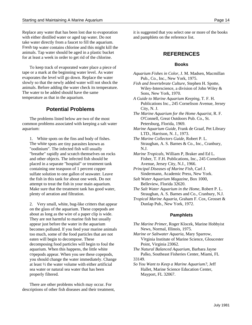Replace any water that has been lost due to evaporation it is suggested that you select one or more of the books with either distilled water or aged tap water. Do not and pamphlets on the reference list. take water directly from a faucet to fill the aquarium. Fresh tap water contains chlorine and this might kill the animals. Tap water should be aged in a plastic bucket for at least a week in order to get rid of the chlorine.

To keep track of evaporated water place a piece of tape or a mark at the beginning water level. As water evaporates the level will go down. Replace the water slowly so that the newly added water will not shock the animals. Before adding the water check its temperature. The water to be added should have the same temperature as that in the aquarium.

# **Potential Problems**

The problems listed below are two of the most common problems associated with keeping a salt water aquarium:

1. White spots on the fins and body of fishes. The white spots are tiny parasites known as "oodinium". The infected fish will usually "breathe" rapidly and scratch themselves on rocks and other objects. The infected fish should be placed in a separate "hospital" or treatment tank containing one teaspoon of 1 percent copper sulfate solution to one gallon of seawater. Leave the fish in this tank for about one week. Do not attempt to treat the fish in your main aquarium. Make sure that the treatment tank has good water, plenty of aeration and filtration.

2. Very small, white, bug-like critters that appear on the glass of the aquarium. These copepods are about as long as the wire of a paper clip is wide. They are not harmful to marine fish but usually appear just before the water in the aquarium becomes polluted. lf you feed your marine animals too much, some of the food particles that are not eaten will begin to decompose. These decomposing food particles will begin to foul the aquarium. When this happens, the little white copepods appear. When you see these copepods, you should change the water immediately. Change at least ½ the water volume with either artificial sea water or natural sea water that has been properly filtered.

There are other problems which may occur. For descriptions of other fish diseases and their treatment,

## **REFERENCES**

#### **Books**

- *Aquarium Fishes in Color*, J. M. Madsen, Macmillan Pub., Co., Inc., New York, 1975.
- *Fish and Invertebrate Culture*, Stephen H. Spotte, Wiley-Interscience, a division of John Wiley & Sons, New York, 1970.
- *A Guide to Marine Aquarium Keeping*, T. F. H. Publications Inc., 245 Cornelison Avenue, Jersey City, N. J.
- *The Marine Aquarium for the Home Aquarist*, R. F. O'Connell, Great Outdoors Pub. Co., St. Petersburg, Florida, 1969.
- *Marine Aquarium Guide*, Frank de Graaf, Pet Library LTD., Harrison, N. J., 1973.
- *The Marine Collectors Guide*, Robert P. L. Straughan, A. S. Barnes & Co., Inc., Cranbury, N.J.
- *Marine Tropicals*, William P, Braker and Ed L. Fisher, T. F.H. Publications, Inc., 245 Cornelison Avenue, Jersey City, N.J., 1966.
- *Principal Diseases of Marine Fish*, Carl J. Sindermann, Academic Press, New York.
- *Salt Water Aquarium Magazine*, Box 1000, Belleview, Florida 32620.
- *The Salt Water Aquarium in the Home*, Robert P. L. Straughan, A. S. Barnes and Co., Cranbury, N.J.
- *Tropical Marine Aquaria*, Graham F. Cox, Grosset & Dunlap Pub., New York, 1972.

#### **Pamphlets**

- *The Marine Primer*, Roger Klocek, Marine Hobbyist News, Normal, Illinois, 1975.
- *Marine or Saltwater Aquaria*, Mary Sparrow, Virginia Institute of Marine Science, Gloucester Point, Virginia 23062.
- *The Natural Balanced Aquarium*, Barbara Jayne Palko, Southeast Fisheries Center, Miami, FL 33149.
- *So You Want to Keep a Marine Aquarium?*, Jeff Hallet, Marine Science Education Center, Mayport, FL 32067.